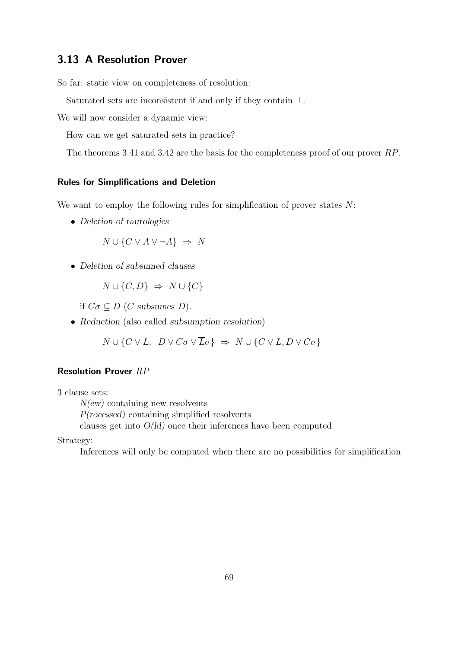# 3.13 A Resolution Prover

So far: static view on completeness of resolution:

Saturated sets are inconsistent if and only if they contain ⊥.

We will now consider a dynamic view:

How can we get saturated sets in practice?

The theorems 3.41 and 3.42 are the basis for the completeness proof of our prover RP.

# Rules for Simplifications and Deletion

We want to employ the following rules for simplification of prover states  $N$ :

• *Deletion of tautologies*

 $N \cup \{C \vee A \vee \neg A\} \Rightarrow N$ 

• *Deletion of subsumed clauses*

 $N \cup \{C, D\} \Rightarrow N \cup \{C\}$ 

if  $C\sigma \subseteq D$  (*C* subsumes *D*).

• *Reduction* (also called *subsumption resolution*)

 $N \cup \{C \vee L, D \vee C\sigma \vee \overline{L}\sigma\} \Rightarrow N \cup \{C \vee L, D \vee C\sigma\}$ 

## Resolution Prover RP

3 clause sets:

*N(ew)* containing new resolvents *P(rocessed)* containing simplified resolvents clauses get into *O(ld)* once their inferences have been computed

Strategy:

Inferences will only be computed when there are no possibilities for simplification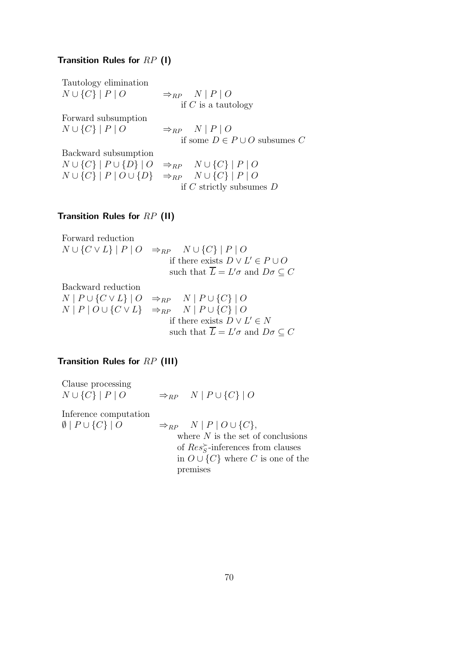## Transition Rules for  $RP(1)$

Tautology elimination

 $N \cup \{C\} | P | O \Rightarrow_{RP} N | P | O$ if  $C$  is a tautology

Forward subsumption  $N \cup \{C\} | P | O \qquad \Rightarrow_{RP} N | P | O$ 

if some D ∈ P ∪ O subsumes C

Backward subsumption  $N ∪ {C}$  |  $P ∪ {D}$  |  $O$   $\Rightarrow_{RP} N ∪ {C}$  |  $P ∣ O$  $N \cup \{C\}$  |  $P$  |  $O \cup \{D\}$   $\Rightarrow_{RP} N \cup \{C\}$  |  $P$  |  $O$ 

if  $C$  strictly subsumes  $D$ 

# Transition Rules for RP (II)

Forward reduction  $N ∪ {C ∨ L} | P | O \Rightarrow_{RP} N ∪ {C} | P | O$ if there exists  $D \vee L' \in P \cup O$ such that  $\overline{L} = L' \sigma$  and  $D \sigma \subseteq C$ Backward reduction

 $N$  |  $P \cup \{C \vee L\}$  |  $O \Rightarrow_{RP} N$  |  $P \cup \{C\}$  |  $O$  $N | P | O \cup \{ C \vee L \} \Rightarrow_{RP} N | P \cup \{ C \} | O$ if there exists  $D \vee L' \in N$ such that  $\overline{L} = L' \sigma$  and  $D \sigma \subseteq C$ 

# Transition Rules for RP (III)

| Clause processing                  |                                               |
|------------------------------------|-----------------------------------------------|
| $N \cup \{C\}   P   O$             | $\Rightarrow_{RP} N \mid P \cup \{C\} \mid O$ |
| Inference computation              |                                               |
| $\emptyset$   $P \cup \{C\}$   $O$ | $\Rightarrow_{RP} N   P   O \cup \{C\},$      |
|                                    | where $N$ is the set of conclusions           |
|                                    | of $Res_{S}^{\succ}$ -inferences from clauses |
|                                    | in $O \cup \{C\}$ where C is one of the       |
|                                    | premises                                      |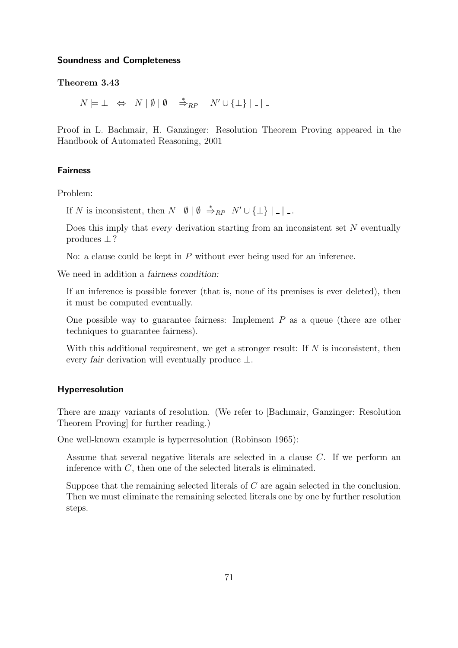#### Soundness and Completeness

### Theorem 3.43

 $N \models \bot \Leftrightarrow N \mid \emptyset \mid \emptyset \Rightarrow_{RP} N' \cup {\{\bot\}} \mid \bot$ 

Proof in L. Bachmair, H. Ganzinger: Resolution Theorem Proving appeared in the Handbook of Automated Reasoning, 2001

## Fairness

Problem:

If N is inconsistent, then  $N | \emptyset | \emptyset \stackrel{*}{\Rightarrow}_{RP} N' \cup {\{\perp\}} |$ .

Does this imply that *every* derivation starting from an inconsistent set N eventually produces ⊥?

No: a clause could be kept in P without ever being used for an inference.

We need in addition a *fairness condition:*

If an inference is possible forever (that is, none of its premises is ever deleted), then it must be computed eventually.

One possible way to guarantee fairness: Implement  $P$  as a queue (there are other techniques to guarantee fairness).

With this additional requirement, we get a stronger result: If  $N$  is inconsistent, then every *fair* derivation will eventually produce ⊥.

#### Hyperresolution

There are *many* variants of resolution. (We refer to [Bachmair, Ganzinger: Resolution Theorem Proving] for further reading.)

One well-known example is hyperresolution (Robinson 1965):

Assume that several negative literals are selected in a clause  $C$ . If we perform an inference with C, then one of the selected literals is eliminated.

Suppose that the remaining selected literals of C are again selected in the conclusion. Then we must eliminate the remaining selected literals one by one by further resolution steps.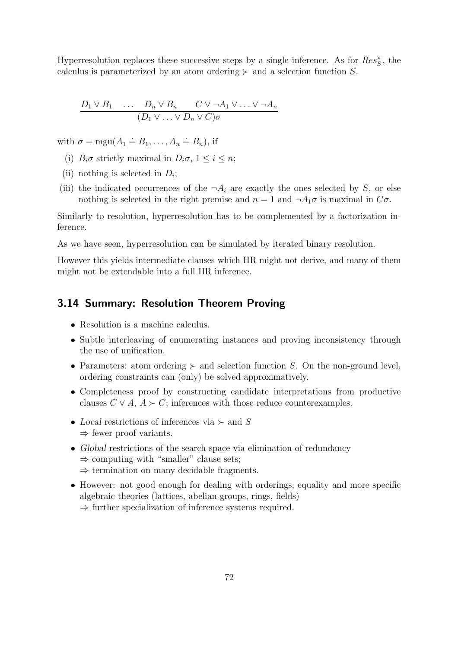Hyperresolution replaces these successive steps by a single inference. As for  $Res_{S}^{\succ}$ , the calculus is parameterized by an atom ordering  $\succ$  and a selection function S.

$$
\frac{D_1 \vee B_1 \cdots D_n \vee B_n \quad C \vee \neg A_1 \vee \ldots \vee \neg A_n}{(D_1 \vee \ldots \vee D_n \vee C)\sigma}
$$

with  $\sigma = \text{mgu}(A_1 \doteq B_1, \ldots, A_n \doteq B_n)$ , if

- (i)  $B_i \sigma$  strictly maximal in  $D_i \sigma$ ,  $1 \leq i \leq n$ ;
- (ii) nothing is selected in  $D_i$ ;
- (iii) the indicated occurrences of the  $\neg A_i$  are exactly the ones selected by S, or else nothing is selected in the right premise and  $n = 1$  and  $\neg A_1 \sigma$  is maximal in  $C \sigma$ .

Similarly to resolution, hyperresolution has to be complemented by a factorization inference.

As we have seen, hyperresolution can be simulated by iterated binary resolution.

However this yields intermediate clauses which HR might not derive, and many of them might not be extendable into a full HR inference.

# 3.14 Summary: Resolution Theorem Proving

- Resolution is a machine calculus.
- Subtle interleaving of enumerating instances and proving inconsistency through the use of unification.
- Parameters: atom ordering  $\succ$  and selection function S. On the non-ground level, ordering constraints can (only) be solved approximatively.
- Completeness proof by constructing candidate interpretations from productive clauses  $C \vee A$ ,  $A \succ C$ ; inferences with those reduce counterexamples.
- *Local* restrictions of inferences via ≻ and S  $\Rightarrow$  fewer proof variants.
- *Global* restrictions of the search space via elimination of redundancy  $\Rightarrow$  computing with "smaller" clause sets;  $\Rightarrow$  termination on many decidable fragments.
- However: not good enough for dealing with orderings, equality and more specific algebraic theories (lattices, abelian groups, rings, fields)
	- $\Rightarrow$  further specialization of inference systems required.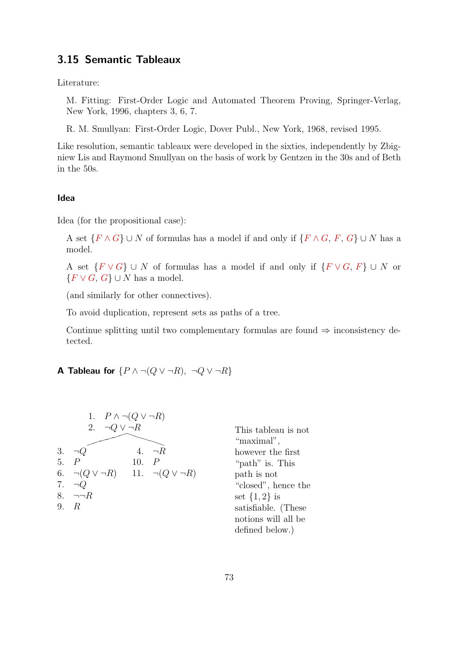# 3.15 Semantic Tableaux

Literature:

M. Fitting: First-Order Logic and Automated Theorem Proving, Springer-Verlag, New York, 1996, chapters 3, 6, 7.

R. M. Smullyan: First-Order Logic, Dover Publ., New York, 1968, revised 1995.

Like resolution, semantic tableaux were developed in the sixties, independently by Zbigniew Lis and Raymond Smullyan on the basis of work by Gentzen in the 30s and of Beth in the 50s.

## Idea

Idea (for the propositional case):

A set  $\{F \wedge G\} \cup N$  of formulas has a model if and only if  $\{F \wedge G, F, G\} \cup N$  has a model.

A set  $\{F \vee G\} \cup N$  of formulas has a model if and only if  $\{F \vee G, F\} \cup N$  or  ${F \vee G, G} \cup N$  has a model.

(and similarly for other connectives).

To avoid duplication, represent sets as paths of a tree.

Continue splitting until two complementary formulas are found  $\Rightarrow$  inconsistency detected.

# A Tableau for  $\{P \land \neg (Q \lor \neg R), \neg Q \lor \neg R\}$



This tableau is not "maximal", however the first "path" is. This path is not "closed", hence the set  $\{1,2\}$  is satisfiable. (These notions will all be defined below.)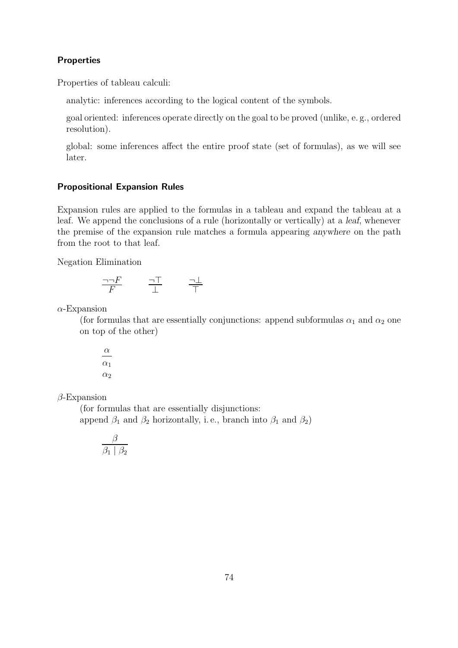## Properties

Properties of tableau calculi:

analytic: inferences according to the logical content of the symbols.

goal oriented: inferences operate directly on the goal to be proved (unlike, e. g., ordered resolution).

global: some inferences affect the entire proof state (set of formulas), as we will see later.

## Propositional Expansion Rules

Expansion rules are applied to the formulas in a tableau and expand the tableau at a leaf. We append the conclusions of a rule (horizontally or vertically) at a *leaf*, whenever the premise of the expansion rule matches a formula appearing *anywhere* on the path from the root to that leaf.

Negation Elimination

$$
\frac{\neg \neg F}{F} \qquad \frac{\neg T}{\perp} \qquad \frac{\neg \perp}{T}
$$

 $\alpha$ -Expansion

(for formulas that are essentially conjunctions: append subformulas  $\alpha_1$  and  $\alpha_2$  one on top of the other)

$$
\frac{\alpha}{\alpha_1}
$$
  

$$
\alpha_2
$$

 $\beta$ -Expansion

(for formulas that are essentially disjunctions: append  $\beta_1$  and  $\beta_2$  horizontally, i.e., branch into  $\beta_1$  and  $\beta_2$ )

$$
\frac{\beta}{\beta_1 \mid \beta_2}
$$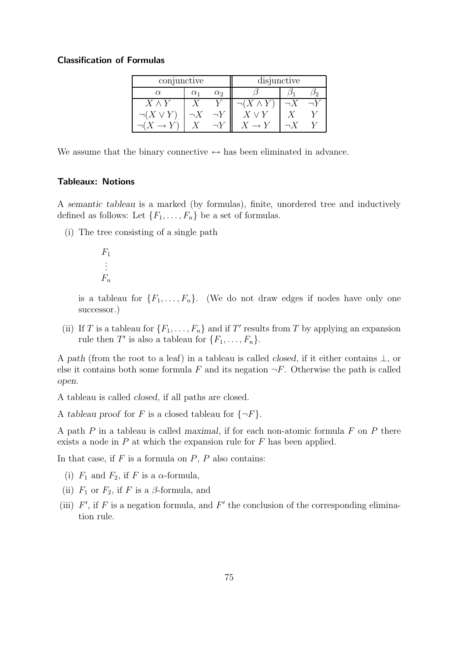#### Classification of Formulas

| conjunctive      |            |            | disjunctive       |  |  |
|------------------|------------|------------|-------------------|--|--|
| $\alpha$         | $\alpha_1$ | $\alpha_2$ |                   |  |  |
| $X \wedge Y$     |            |            | $\neg(X\wedge Y)$ |  |  |
| $\neg(X \vee Y)$ |            |            |                   |  |  |
|                  |            |            |                   |  |  |

We assume that the binary connective  $\leftrightarrow$  has been eliminated in advance.

## Tableaux: Notions

A *semantic tableau* is a marked (by formulas), finite, unordered tree and inductively defined as follows: Let  $\{F_1, \ldots, F_n\}$  be a set of formulas.

(i) The tree consisting of a single path

$$
F_1 \\ \vdots \\ F_n
$$

is a tableau for  $\{F_1, \ldots, F_n\}$ . (We do not draw edges if nodes have only one successor.)

(ii) If T is a tableau for  $\{F_1, \ldots, F_n\}$  and if T' results from T by applying an expansion rule then T' is also a tableau for  $\{F_1, \ldots, F_n\}$ .

A *path* (from the root to a leaf) in a tableau is called *closed*, if it either contains ⊥, or else it contains both some formula F and its negation  $\neg F$ . Otherwise the path is called *open*.

A tableau is called *closed*, if all paths are closed.

A *tableau proof* for F is a closed tableau for  $\{\neg F\}$ .

A path P in a tableau is called *maximal*, if for each non-atomic formula F on P there exists a node in  $P$  at which the expansion rule for  $F$  has been applied.

In that case, if  $F$  is a formula on  $P$ ,  $P$  also contains:

- (i)  $F_1$  and  $F_2$ , if F is a  $\alpha$ -formula,
- (ii)  $F_1$  or  $F_2$ , if F is a  $\beta$ -formula, and
- (iii)  $F'$ , if F is a negation formula, and F' the conclusion of the corresponding elimination rule.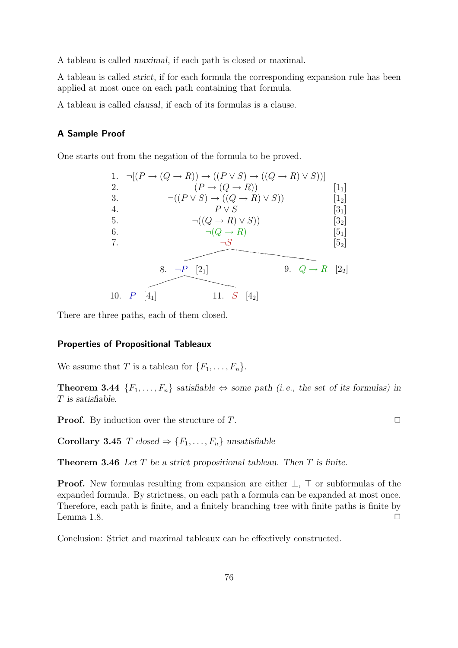A tableau is called *maximal*, if each path is closed or maximal.

A tableau is called *strict*, if for each formula the corresponding expansion rule has been applied at most once on each path containing that formula.

A tableau is called *clausal*, if each of its formulas is a clause.

## A Sample Proof

One starts out from the negation of the formula to be proved.

1. 
$$
\neg[(P \rightarrow (Q \rightarrow R)) \rightarrow ((P \vee S) \rightarrow ((Q \rightarrow R) \vee S))]
$$
  
\n2.  $(P \rightarrow (Q \rightarrow R))$  [1<sub>1</sub>]  
\n3.  $\neg((P \vee S) \rightarrow ((Q \rightarrow R) \vee S))$  [1<sub>2</sub>]  
\n4.  $P \vee S$  [3<sub>1</sub>]  
\n5.  $\neg((Q \rightarrow R) \vee S)$  [3<sub>2</sub>]  
\n6.  $\neg(Q \rightarrow R)$  [5<sub>1</sub>]  
\n7.  $\neg S$  [5<sub>2</sub>]  
\n8.  $\neg P$  [2<sub>1</sub>] 9.  $Q \rightarrow R$  [2<sub>2</sub>]  
\n10.  $P$  [4<sub>1</sub>] 11.  $S$  [4<sub>2</sub>]

There are three paths, each of them closed.

## Properties of Propositional Tableaux

We assume that T is a tableau for  $\{F_1, \ldots, F_n\}$ .

**Theorem 3.44**  ${F_1, \ldots, F_n}$  *satisfiable* ⇔ *some path (i.e., the set of its formulas) in* T *is satisfiable.*

**Proof.** By induction over the structure of T.  $\Box$ 

Corollary 3.45 T *closed*  $\Rightarrow$  { $F_1, \ldots, F_n$ } *unsatisfiable* 

Theorem 3.46 *Let* T *be a strict propositional tableau. Then* T *is finite.*

Proof. New formulas resulting from expansion are either  $\bot$ ,  $\top$  or subformulas of the expanded formula. By strictness, on each path a formula can be expanded at most once. Therefore, each path is finite, and a finitely branching tree with finite paths is finite by Lemma 1.8.  $\Box$ 

Conclusion: Strict and maximal tableaux can be effectively constructed.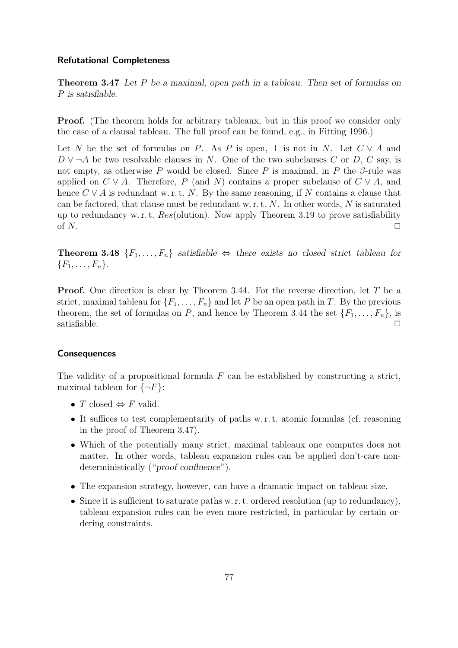## Refutational Completeness

Theorem 3.47 *Let* P *be a maximal, open path in a tableau. Then set of formulas on* P *is satisfiable.*

**Proof.** (The theorem holds for arbitrary tableaux, but in this proof we consider only the case of a clausal tableau. The full proof can be found, e.g., in Fitting 1996.)

Let N be the set of formulas on P. As P is open,  $\perp$  is not in N. Let  $C \vee A$  and  $D \vee \neg A$  be two resolvable clauses in N. One of the two subclauses C or D, C say, is not empty, as otherwise P would be closed. Since P is maximal, in P the  $\beta$ -rule was applied on  $C \vee A$ . Therefore, P (and N) contains a proper subclause of  $C \vee A$ , and hence  $C \vee A$  is redundant w. r. t. N. By the same reasoning, if N contains a clause that can be factored, that clause must be redundant w.r.t.  $N$ . In other words,  $N$  is saturated up to redundancy w.r.t.  $Res($ olution). Now apply Theorem 3.19 to prove satisfiability of  $N$ .

**Theorem 3.48**  ${F_1, \ldots, F_n}$  *satisfiable* ⇔ *there exists no closed strict tableau for*  ${F_1, \ldots, F_n}.$ 

Proof. One direction is clear by Theorem 3.44. For the reverse direction, let T be a strict, maximal tableau for  $\{F_1, \ldots, F_n\}$  and let P be an open path in T. By the previous theorem, the set of formulas on P, and hence by Theorem 3.44 the set  $\{F_1, \ldots, F_n\}$ , is  $s$ atisfiable.  $\Box$ 

## **Consequences**

The validity of a propositional formula  $F$  can be established by constructing a strict, maximal tableau for  $\{\neg F\}$ :

- T closed  $\Leftrightarrow$  F valid.
- It suffices to test complementarity of paths w. r. t. atomic formulas (cf. reasoning in the proof of Theorem 3.47).
- Which of the potentially many strict, maximal tableaux one computes does not matter. In other words, tableau expansion rules can be applied don't-care nondeterministically ("*proof confluence*").
- The expansion strategy, however, can have a dramatic impact on tableau size.
- Since it is sufficient to saturate paths w. r. t. ordered resolution (up to redundancy), tableau expansion rules can be even more restricted, in particular by certain ordering constraints.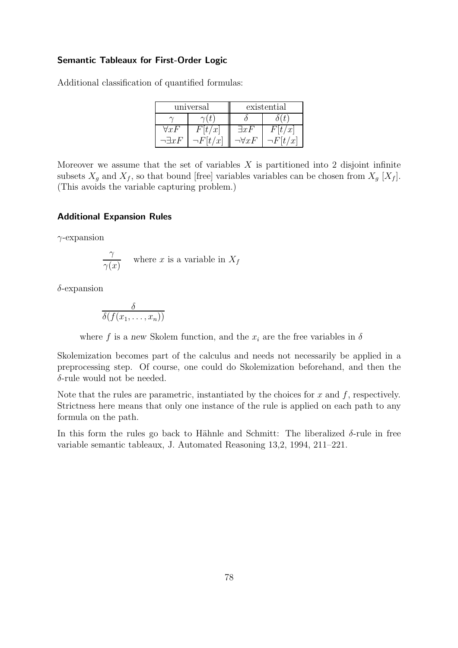#### Semantic Tableaux for First-Order Logic

Additional classification of quantified formulas:

|               | universal        | existential  |   |  |
|---------------|------------------|--------------|---|--|
|               |                  |              |   |  |
| $\forall x F$ | t/x              | $\exists xF$ | x |  |
|               | $\boldsymbol{x}$ | 1 x F        |   |  |

Moreover we assume that the set of variables  $X$  is partitioned into 2 disjoint infinite subsets  $X_g$  and  $X_f$ , so that bound [free] variables variables can be chosen from  $X_g$  [ $X_f$ ]. (This avoids the variable capturing problem.)

## Additional Expansion Rules

 $\gamma$ -expansion

$$
\frac{\gamma}{\gamma(x)}
$$
 where *x* is a variable in  $X_f$ 

 $\delta$ -expansion

$$
\frac{\delta}{\delta(f(x_1,\ldots,x_n))}
$$

where f is a new Skolem function, and the  $x_i$  are the free variables in  $\delta$ 

Skolemization becomes part of the calculus and needs not necessarily be applied in a preprocessing step. Of course, one could do Skolemization beforehand, and then the δ-rule would not be needed.

Note that the rules are parametric, instantiated by the choices for  $x$  and  $f$ , respectively. Strictness here means that only one instance of the rule is applied on each path to any formula on the path.

In this form the rules go back to Hähnle and Schmitt: The liberalized  $\delta$ -rule in free variable semantic tableaux, J. Automated Reasoning 13,2, 1994, 211–221.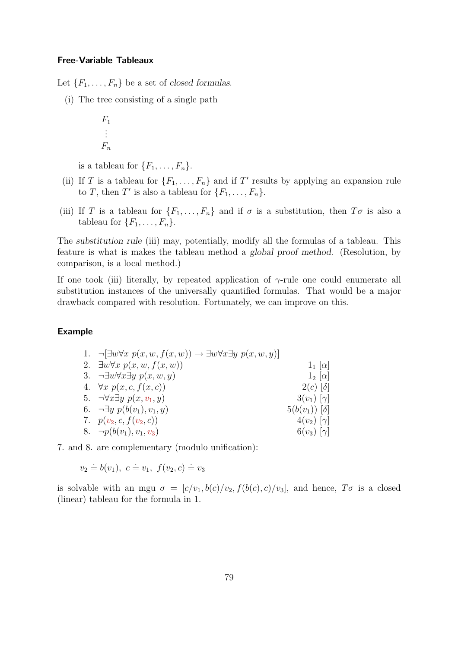#### Free-Variable Tableaux

Let  $\{F_1, \ldots, F_n\}$  be a set of *closed formulas*.

(i) The tree consisting of a single path

$$
F_1
$$

$$
\vdots
$$

$$
F_n
$$

is a tableau for  $\{F_1, \ldots, F_n\}$ .

- (ii) If T is a tableau for  $\{F_1, \ldots, F_n\}$  and if T' results by applying an expansion rule to T, then T' is also a tableau for  $\{F_1, \ldots, F_n\}$ .
- (iii) If T is a tableau for  $\{F_1, \ldots, F_n\}$  and if  $\sigma$  is a substitution, then  $T\sigma$  is also a tableau for  $\{F_1, \ldots, F_n\}$ .

The *substitution rule* (iii) may, potentially, modify all the formulas of a tableau. This feature is what is makes the tableau method a *global proof method*. (Resolution, by comparison, is a local method.)

If one took (iii) literally, by repeated application of  $\gamma$ -rule one could enumerate all substitution instances of the universally quantified formulas. That would be a major drawback compared with resolution. Fortunately, we can improve on this.

## Example

| 1. $\neg \exists w \forall x \ p(x, w, f(x, w)) \rightarrow \exists w \forall x \exists y \ p(x, w, y)$ |                      |
|---------------------------------------------------------------------------------------------------------|----------------------|
| 2. $\exists w \forall x \ p(x, w, f(x, w))$                                                             | $1_1$ [ $\alpha$ ]   |
| 3. $\neg \exists w \forall x \exists y \ p(x, w, y)$                                                    | $1_2$ [ $\alpha$ ]   |
| 4. $\forall x \ p(x, c, f(x, c))$                                                                       | $2(c)$ [ $\delta$ ]  |
| 5. $\neg \forall x \exists y \ p(x, v_1, y)$                                                            | $3(v_1)$ $[\gamma]$  |
| 6. $\neg \exists y \ p(b(v_1), v_1, y)$                                                                 | $5(b(v_1)) [\delta]$ |
| 7. $p(v_2, c, f(v_2, c))$                                                                               | $4(v_2)$ $[\gamma]$  |
| 8. $\neg p(b(v_1), v_1, v_3)$                                                                           | $6(v_3) [\gamma]$    |

7. and 8. are complementary (modulo unification):

 $v_2 \doteq b(v_1), \ c \doteq v_1, \ f(v_2, c) \doteq v_3$ 

is solvable with an mgu  $\sigma = [c/v_1, b(c)/v_2, f(b(c), c)/v_3]$ , and hence,  $T\sigma$  is a closed (linear) tableau for the formula in 1.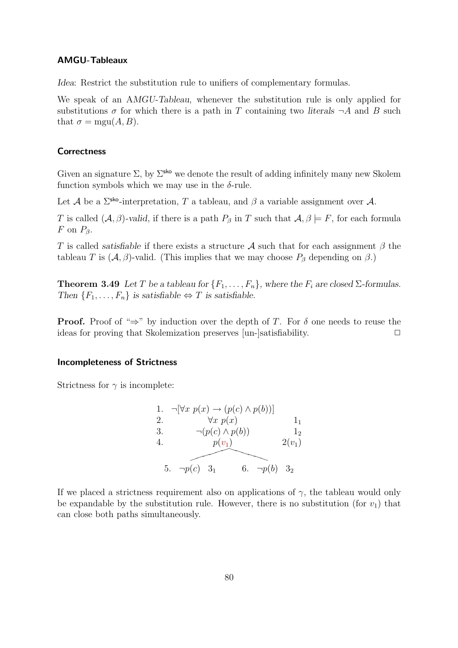#### AMGU-Tableaux

*Idea*: Restrict the substitution rule to unifiers of complementary formulas.

We speak of an A*MGU-Tableau*, whenever the substitution rule is only applied for substitutions  $\sigma$  for which there is a path in T containing two *literals*  $\neg A$  and B such that  $\sigma = \text{mgu}(A, B)$ .

## **Correctness**

Given an signature  $\Sigma$ , by  $\Sigma^{\text{sko}}$  we denote the result of adding infinitely many new Skolem function symbols which we may use in the  $\delta$ -rule.

Let A be a  $\Sigma^{\text{sko}}$ -interpretation, T a tableau, and  $\beta$  a variable assignment over A.

T is called  $(A, \beta)$ -valid, if there is a path  $P_\beta$  in T such that  $A, \beta \models F$ , for each formula F on  $P_{\beta}$ .

T is called *satisfiable* if there exists a structure A such that for each assignment  $\beta$  the tableau T is  $(A, \beta)$ -valid. (This implies that we may choose  $P_\beta$  depending on  $\beta$ .)

**Theorem 3.49** Let T be a tableau for  $\{F_1, \ldots, F_n\}$ , where the  $F_i$  are closed  $\Sigma$ -formulas. *Then*  $\{F_1, \ldots, F_n\}$  *is satisfiable*  $\Leftrightarrow T$  *is satisfiable.* 

**Proof.** Proof of " $\Rightarrow$ " by induction over the depth of T. For  $\delta$  one needs to reuse the ideas for proving that Skolemization preserves [un-]satisfiability.  $\Box$ 

#### Incompleteness of Strictness

Strictness for  $\gamma$  is incomplete:

1. 
$$
\neg[\forall x \ p(x) \rightarrow (p(c) \land p(b))]
$$
  
\n2.  $\forall x \ p(x)$   
\n3.  $\neg(p(c) \land p(b))$   
\n4.  $p(v_1)$   
\n5.  $\neg p(c)$   
\n6.  $\neg p(b)$   
\n7.  $\neg p(b)$   
\n8.  $\neg p(b)$   
\n9.  $\neg p(b)$   
\n10.  $\neg p(b)$   
\n11.  $\neg p(c)$   
\n12.  $\neg p(c)$   
\n13.  $\neg p(c)$   
\n14.  $\neg p(v_1)$   
\n15.  $\neg p(c)$   
\n16.  $\neg p(b)$   
\n17.  $\neg p(c)$   
\n18.  $\neg p(c)$   
\n19.  $\neg p(c)$   
\n10.  $\neg p(b)$   
\n21.  $\neg p(c)$   
\n22.  $\neg p(c)$   
\n33.  $\neg p(c)$   
\n34.  $\neg p(c)$   
\n35.  $\neg p(c)$   
\n36.  $\neg p(b)$   
\n37.  $\neg p(c)$   
\n38.  $\neg p(c)$   
\n39.  $\neg p(c)$   
\n30.  $\neg p(c)$   
\n31.  $\neg p(c)$   
\n32.  $\neg p(c)$   
\n33.  $\neg p(c)$   
\n34.  $\neg p(c)$   
\n35.  $\neg p(c)$   
\n36.  $\neg p(c)$   
\n37.  $\neg p(c)$   
\n38.  $\neg p(c)$   
\n39.  $\neg p(c)$   
\n30.  $\neg p(c)$   
\n31.  $\neg p(c)$   
\n32.  $\neg p(c)$   
\n33.  $\neg p(c)$   
\n34.  $\neg p(c)$   
\n35.  $\neg p(c)$   
\n36.  $\neg p(c)$   
\n37.  $\neg p(c)$   
\n38.  $\neg p(c)$   
\n39.  $\neg p(c)$   
\n30.  $\neg p(c)$ 

If we placed a strictness requirement also on applications of  $\gamma$ , the tableau would only be expandable by the substitution rule. However, there is no substitution (for  $v_1$ ) that can close both paths simultaneously.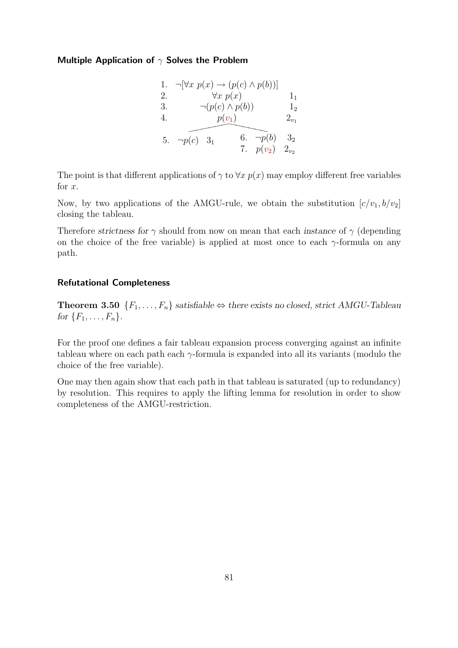## Multiple Application of  $\gamma$  Solves the Problem

| 1. |               | $\neg[\forall x \ p(x) \rightarrow (p(c) \land p(b))]$ |             |                |
|----|---------------|--------------------------------------------------------|-------------|----------------|
| 2. |               | $\forall x \ p(x)$                                     |             | $_{1}$         |
| 3. |               | $\neg(p(c) \wedge p(b))$                               |             | 1 <sub>2</sub> |
| 4. |               | $p(v_1)$                                               |             | $2_{v_1}$      |
|    |               |                                                        |             |                |
| 5. | $\neg p(c)$ 3 | 6.                                                     | $\neg p(b)$ | 3 <sub>2</sub> |
|    |               |                                                        | 7. $p(v_2)$ | $2_{v_2}$      |

The point is that different applications of  $\gamma$  to  $\forall x \ p(x)$  may employ different free variables for x.

Now, by two applications of the AMGU-rule, we obtain the substitution  $[c/v_1, b/v_2]$ closing the tableau.

Therefore *strictness for*  $\gamma$  should from now on mean that each *instance* of  $\gamma$  (depending on the choice of the free variable) is applied at most once to each  $\gamma$ -formula on any path.

## Refutational Completeness

**Theorem 3.50** { $F_1, \ldots, F_n$ } *satisfiable* ⇔ *there exists no closed, strict AMGU-Tableau for*  ${F_1, \ldots, F_n}$ .

For the proof one defines a fair tableau expansion process converging against an infinite tableau where on each path each  $\gamma$ -formula is expanded into all its variants (modulo the choice of the free variable).

One may then again show that each path in that tableau is saturated (up to redundancy) by resolution. This requires to apply the lifting lemma for resolution in order to show completeness of the AMGU-restriction.